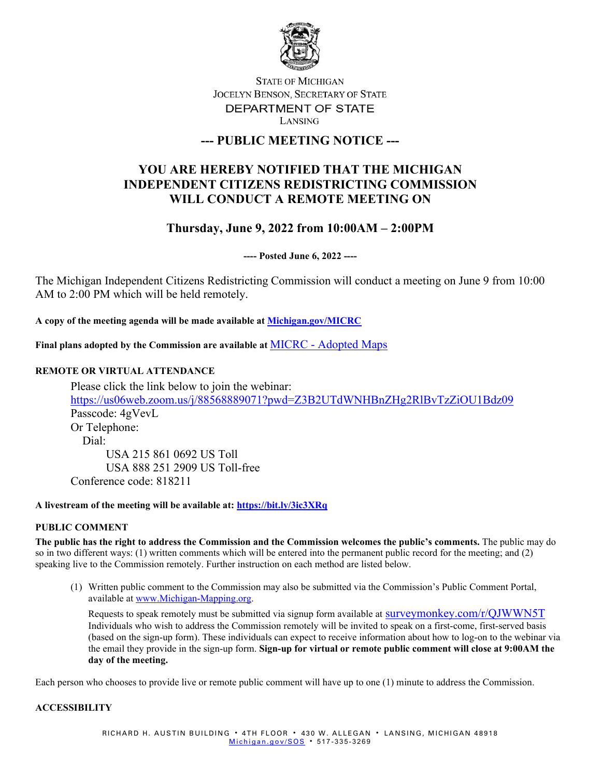

## **STATE OF MICHIGAN** JOCELYN BENSON, SECRETARY OF STATE DEPARTMENT OF STATE LANSING

# **--- PUBLIC MEETING NOTICE ---**

# **YOU ARE HEREBY NOTIFIED THAT THE MICHIGAN INDEPENDENT CITIZENS REDISTRICTING COMMISSION WILL CONDUCT A REMOTE MEETING ON**

# **Thursday, June 9, 2022 from 10:00AM – 2:00PM**

**---- Posted June 6, 2022 ----**

The Michigan Independent Citizens Redistricting Commission will conduct a meeting on June 9 from 10:00 AM to 2:00 PM which will be held remotely.

**A copy of the meeting agenda will be made available at [Michigan.gov/MICRC](http://www.michigan.gov/MICRC)**

**Final plans adopted by the Commission are available at** MICRC - [Adopted Maps](https://www.michigan.gov/micrc/0,10083,7-418-107190_108607---,00.html)

### **REMOTE OR VIRTUAL ATTENDANCE**

Please click the link below to join the webinar: <https://us06web.zoom.us/j/88568889071?pwd=Z3B2UTdWNHBnZHg2RlBvTzZiOU1Bdz09> Passcode: 4gVevL Or Telephone: Dial: USA 215 861 0692 US Toll USA 888 251 2909 US Toll-free Conference code: 818211

### **A livestream of the meeting will be available at:<https://bit.ly/3ic3XRq>**

### **PUBLIC COMMENT**

**The public has the right to address the Commission and the Commission welcomes the public's comments.** The public may do so in two different ways: (1) written comments which will be entered into the permanent public record for the meeting; and (2) speaking live to the Commission remotely. Further instruction on each method are listed below.

(1) Written public comment to the Commission may also be submitted via the Commission's Public Comment Portal, available at [www.Michigan-Mapping.org.](http://www.michigan-mapping.org/)

Requests to speak remotely must be submitted via signup form available at  $\frac{\text{surveymonkey}}{\text{conv}}$ ,  $\frac{\text{conv}}{\text{GJWWNST}}$ Individuals who wish to address the Commission remotely will be invited to speak on a first-come, first-served basis (based on the sign-up form). These individuals can expect to receive information about how to log-on to the webinar via the email they provide in the sign-up form. **Sign-up for virtual or remote public comment will close at 9:00AM the day of the meeting.**

Each person who chooses to provide live or remote public comment will have up to one (1) minute to address the Commission.

#### **ACCESSIBILITY**